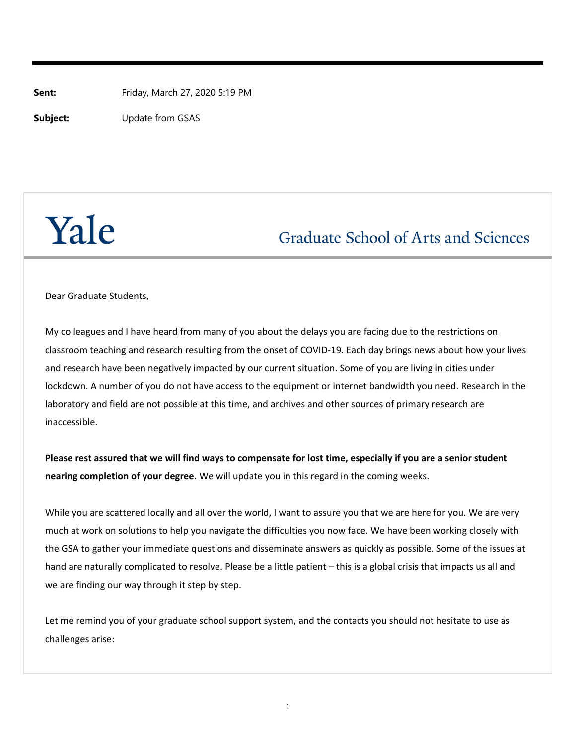**Sent:** Friday, March 27, 2020 5:19 PM

**Subject:** Update from GSAS

## Yale

## **Graduate School of Arts and Sciences**

Dear Graduate Students,

My colleagues and I have heard from many of you about the delays you are facing due to the restrictions on classroom teaching and research resulting from the onset of COVID‐19. Each day brings news about how your lives and research have been negatively impacted by our current situation. Some of you are living in cities under lockdown. A number of you do not have access to the equipment or internet bandwidth you need. Research in the laboratory and field are not possible at this time, and archives and other sources of primary research are inaccessible.

**Please rest assured that we will find ways to compensate for lost time, especially if you are a senior student nearing completion of your degree.** We will update you in this regard in the coming weeks.

While you are scattered locally and all over the world, I want to assure you that we are here for you. We are very much at work on solutions to help you navigate the difficulties you now face. We have been working closely with the GSA to gather your immediate questions and disseminate answers as quickly as possible. Some of the issues at hand are naturally complicated to resolve. Please be a little patient – this is a global crisis that impacts us all and we are finding our way through it step by step.

Let me remind you of your graduate school support system, and the contacts you should not hesitate to use as challenges arise: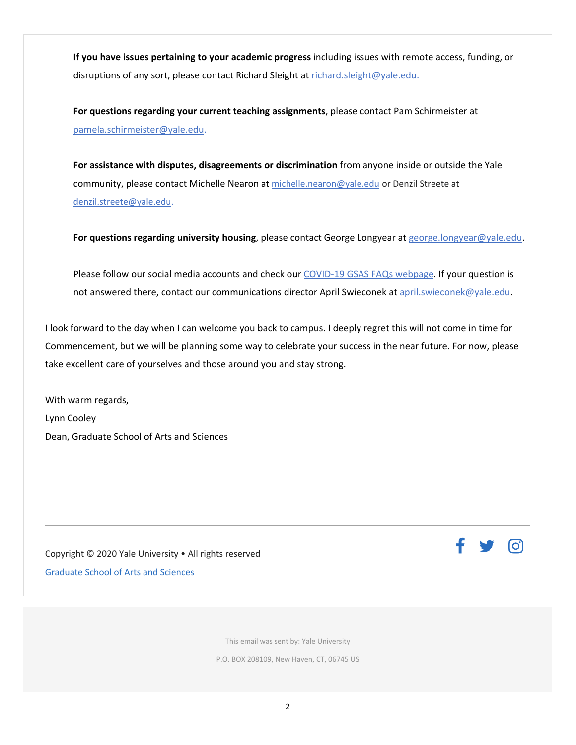**If you have issues pertaining to your academic progress** including issues with remote access, funding, or disruptions of any sort, please contact Richard Sleight at richard.sleight@yale.edu.

**For questions regarding your current teaching assignments**, please contact Pam Schirmeister at pamela.schirmeister@yale.edu.

**For assistance with disputes, disagreements or discrimination** from anyone inside or outside the Yale community, please contact Michelle Nearon at michelle.nearon@yale.edu or Denzil Streete at denzil.streete@yale.edu.

**For questions regarding university housing**, please contact George Longyear at george.longyear@yale.edu.

Please follow our social media accounts and check our COVID-19 GSAS FAQs webpage. If your question is not answered there, contact our communications director April Swieconek at april.swieconek@yale.edu.

I look forward to the day when I can welcome you back to campus. I deeply regret this will not come in time for Commencement, but we will be planning some way to celebrate your success in the near future. For now, please take excellent care of yourselves and those around you and stay strong.

With warm regards, Lynn Cooley Dean, Graduate School of Arts and Sciences

Copyright © 2020 Yale University • All rights reserved Graduate School of Arts and Sciences

ര്ര

This email was sent by: Yale University

P.O. BOX 208109, New Haven, CT, 06745 US